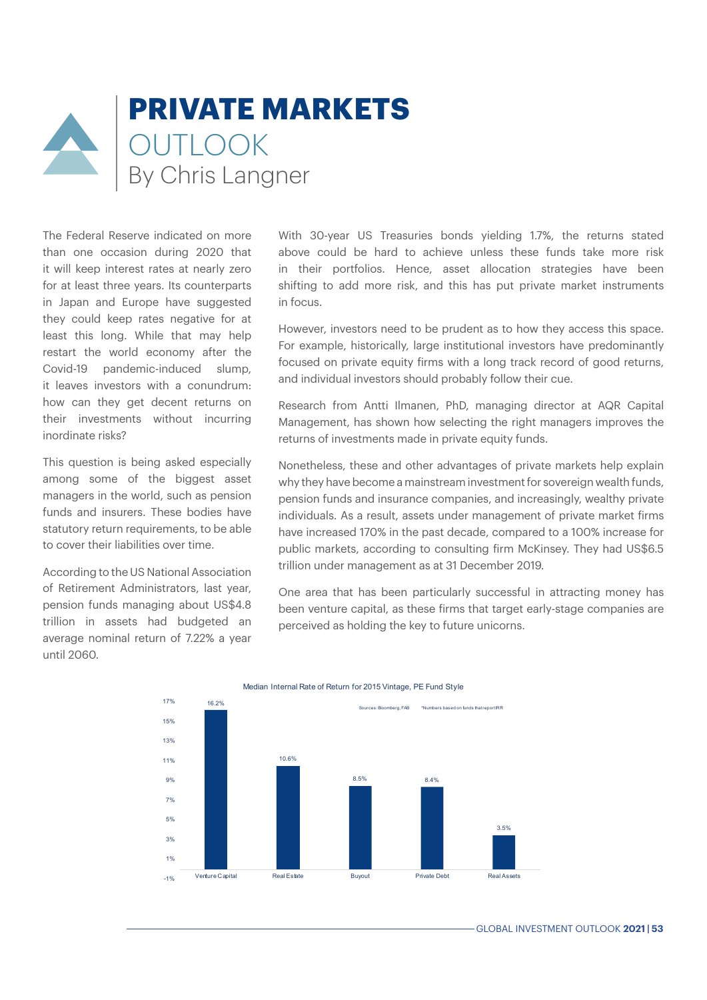## **PRIVATE MARKETS** OUTLOOK By Chris Langner

The Federal Reserve indicated on more than one occasion during 2020 that it will keep interest rates at nearly zero for at least three years. Its counterparts in Japan and Europe have suggested they could keep rates negative for at least this long. While that may help restart the world economy after the Covid-19 pandemic-induced slump, it leaves investors with a conundrum: how can they get decent returns on their investments without incurring inordinate risks?

This question is being asked especially among some of the biggest asset managers in the world, such as pension funds and insurers. These bodies have statutory return requirements, to be able to cover their liabilities over time.

According to the US National Association of Retirement Administrators, last year, pension funds managing about US\$4.8 trillion in assets had budgeted an average nominal return of 7.22% a year until 2060.

With 30-year US Treasuries bonds yielding 1.7%, the returns stated above could be hard to achieve unless these funds take more risk in their portfolios. Hence, asset allocation strategies have been shifting to add more risk, and this has put private market instruments in focus.

However, investors need to be prudent as to how they access this space. For example, historically, large institutional investors have predominantly focused on private equity firms with a long track record of good returns, and individual investors should probably follow their cue.

Research from Antti Ilmanen, PhD, managing director at AQR Capital Management, has shown how selecting the right managers improves the returns of investments made in private equity funds.

Nonetheless, these and other advantages of private markets help explain why they have become a mainstream investment for sovereign wealth funds, pension funds and insurance companies, and increasingly, wealthy private individuals. As a result, assets under management of private market firms have increased 170% in the past decade, compared to a 100% increase for public markets, according to consulting firm McKinsey. They had US\$6.5 trillion under management as at 31 December 2019.

One area that has been particularly successful in attracting money has been venture capital, as these firms that target early-stage companies are perceived as holding the key to future unicorns.



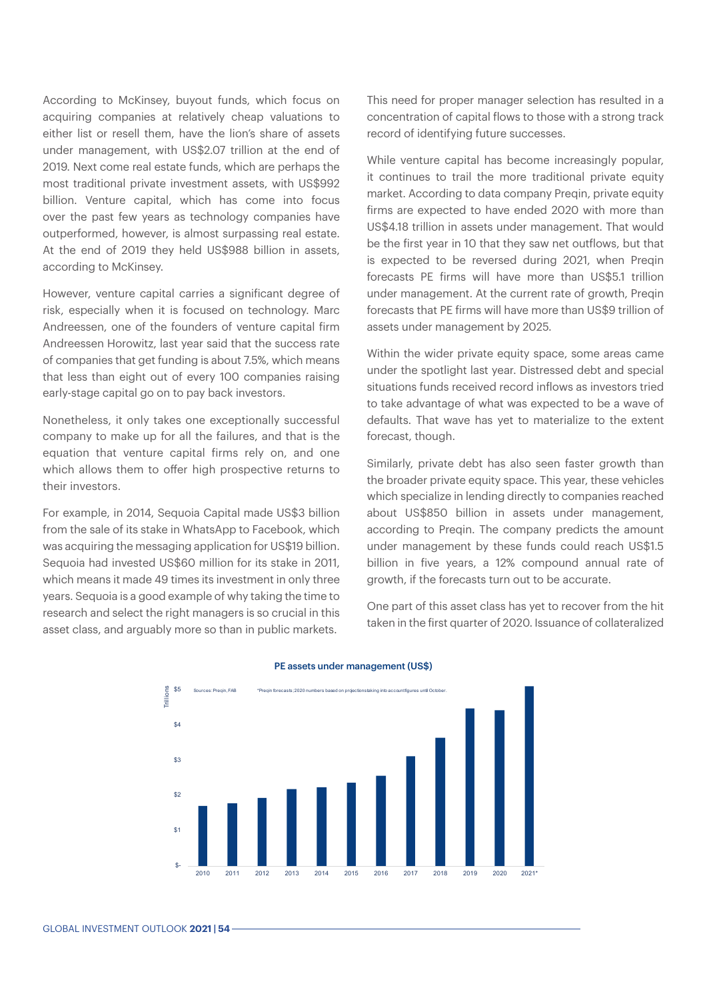According to McKinsey, buyout funds, which focus on acquiring companies at relatively cheap valuations to either list or resell them, have the lion's share of assets under management, with US\$2.07 trillion at the end of 2019. Next come real estate funds, which are perhaps the most traditional private investment assets, with US\$992 billion. Venture capital, which has come into focus over the past few years as technology companies have outperformed, however, is almost surpassing real estate. At the end of 2019 they held US\$988 billion in assets, according to McKinsey.

However, venture capital carries a significant degree of risk, especially when it is focused on technology. Marc Andreessen, one of the founders of venture capital firm Andreessen Horowitz, last year said that the success rate of companies that get funding is about 7.5%, which means that less than eight out of every 100 companies raising early-stage capital go on to pay back investors.

Nonetheless, it only takes one exceptionally successful company to make up for all the failures, and that is the equation that venture capital firms rely on, and one which allows them to offer high prospective returns to their investors.

For example, in 2014, Sequoia Capital made US\$3 billion from the sale of its stake in WhatsApp to Facebook, which was acquiring the messaging application for US\$19 billion. Sequoia had invested US\$60 million for its stake in 2011, which means it made 49 times its investment in only three years. Sequoia is a good example of why taking the time to research and select the right managers is so crucial in this asset class, and arguably more so than in public markets.

This need for proper manager selection has resulted in a concentration of capital flows to those with a strong track record of identifying future successes.

While venture capital has become increasingly popular, it continues to trail the more traditional private equity market. According to data company Preqin, private equity firms are expected to have ended 2020 with more than US\$4.18 trillion in assets under management. That would be the first year in 10 that they saw net outflows, but that is expected to be reversed during 2021, when Preqin forecasts PE firms will have more than US\$5.1 trillion under management. At the current rate of growth, Preqin forecasts that PE firms will have more than US\$9 trillion of assets under management by 2025.

Within the wider private equity space, some areas came under the spotlight last year. Distressed debt and special situations funds received record inflows as investors tried to take advantage of what was expected to be a wave of defaults. That wave has yet to materialize to the extent forecast, though.

Similarly, private debt has also seen faster growth than the broader private equity space. This year, these vehicles which specialize in lending directly to companies reached about US\$850 billion in assets under management, according to Pregin. The company predicts the amount under management by these funds could reach US\$1.5 billion in five years, a 12% compound annual rate of growth, if the forecasts turn out to be accurate.

One part of this asset class has yet to recover from the hit taken in the first quarter of 2020. Issuance of collateralized



## PE assets under management (US\$)